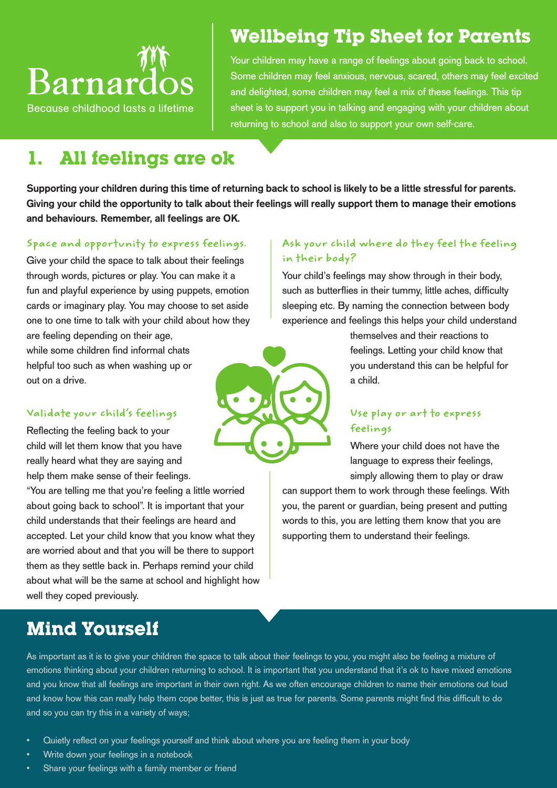# **Barnardos**

Because childhood lasts a lifetime

# **Wellbeing Tip Sheet for Parents**

Your children may have a range of feelings about going back to school. Some children may feel anxious, nervous, scared, others may feel excited and delighted, some children may feel a mix of these feelings. This tip sheet is to support you in talking and engaging with your children about returning to school and also to support your own self-care.

## **1. All feelings are ok**

Supporting your children during this time of returning back to school is likely to be a little stressful for parents. Giving your child the opportunity to talk about their feelings will really support them to manage their emotions and behaviours. Remember, all feelings are OK.

## **Space and opportunity to express feelings.**

Give your child the space to talk about their feelings through words, pictures or play. You can make it a fun and playful experience by using puppets, emotion cards or imaginary play. You may choose to set aside one to one time to talk with your child about how they are feeling depending on their age,

while some children find informal chats helpful too such as when washing up or out on a drive.

## **Validate your child's feelings**

Reflecting the feeling back to your child will let them know that you have really heard what they are saying and help them make sense of their feelings.

"You are telling me that you're feeling a little worried about going back to school". It is important that your child understands that their feelings are heard and accepted. Let your child know that you know what they are worried about and that you will be there to support them as they settle back in. Perhaps remind your child about what will be the same at school and highlight how well they coped previously.

# **Mind Yourself**

## **Ask your child where do they feel the feeling in their body?**

Your child's feelings may show through in their body, such as butterflies in their tummy, little aches, difficulty sleeping etc. By naming the connection between body experience and feelings this helps your child understand

> themselves and their reactions to feelings. Letting your child know that you understand this can be helpful for a child.

## **Use play or art to express feelings**

Where your child does not have the language to express their feelings, simply allowing them to play or draw

can support them to work through these feelings. With you, the parent or guardian, being present and putting words to this, you are letting them know that you are supporting them to understand their feelings.

As important as it is to give your children the space to talk about their feelings to you, you might also be feeling a mixture of emotions thinking about your children returning to school. It is important that you understand that it's ok to have mixed emotions and you know that all feelings are important in their own right. As we often encourage children to name their emotions out loud and know how this can really help them cope better, this is just as true for parents. Some parents might find this difficult to do and so you can try this in a variety of ways;

- Quietly reflect on your feelings yourself and think about where you are feeling them in your body
- Write down your feelings in a notebook
- Share your feelings with a family member or friend

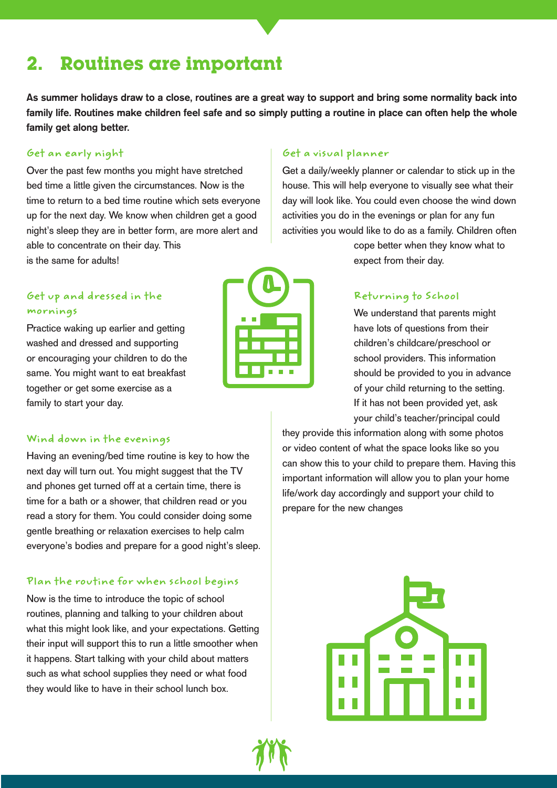# **2. Routines are important**

As summer holidays draw to a close, routines are a great way to support and bring some normality back into family life. Routines make children feel safe and so simply putting a routine in place can often help the whole family get along better.

#### **Get an early night**

Over the past few months you might have stretched bed time a little given the circumstances. Now is the time to return to a bed time routine which sets everyone up for the next day. We know when children get a good night's sleep they are in better form, are more alert and able to concentrate on their day. This is the same for adults!

## **Get up and dressed in the mornings**

Practice waking up earlier and getting washed and dressed and supporting or encouraging your children to do the same. You might want to eat breakfast together or get some exercise as a family to start your day.



#### **Get a visual planner**

Get a daily/weekly planner or calendar to stick up in the house. This will help everyone to visually see what their day will look like. You could even choose the wind down activities you do in the evenings or plan for any fun activities you would like to do as a family. Children often

> cope better when they know what to expect from their day.

#### **Returning to School**

We understand that parents might have lots of questions from their children's childcare/preschool or school providers. This information should be provided to you in advance of your child returning to the setting. If it has not been provided yet, ask your child's teacher/principal could

they provide this information along with some photos or video content of what the space looks like so you can show this to your child to prepare them. Having this important information will allow you to plan your home life/work day accordingly and support your child to prepare for the new changes



#### **Wind down in the evenings**

Having an evening/bed time routine is key to how the next day will turn out. You might suggest that the TV and phones get turned off at a certain time, there is time for a bath or a shower, that children read or you read a story for them. You could consider doing some gentle breathing or relaxation exercises to help calm everyone's bodies and prepare for a good night's sleep.

#### **Plan the routine for when school begins**

Now is the time to introduce the topic of school routines, planning and talking to your children about what this might look like, and your expectations. Getting their input will support this to run a little smoother when it happens. Start talking with your child about matters such as what school supplies they need or what food they would like to have in their school lunch box.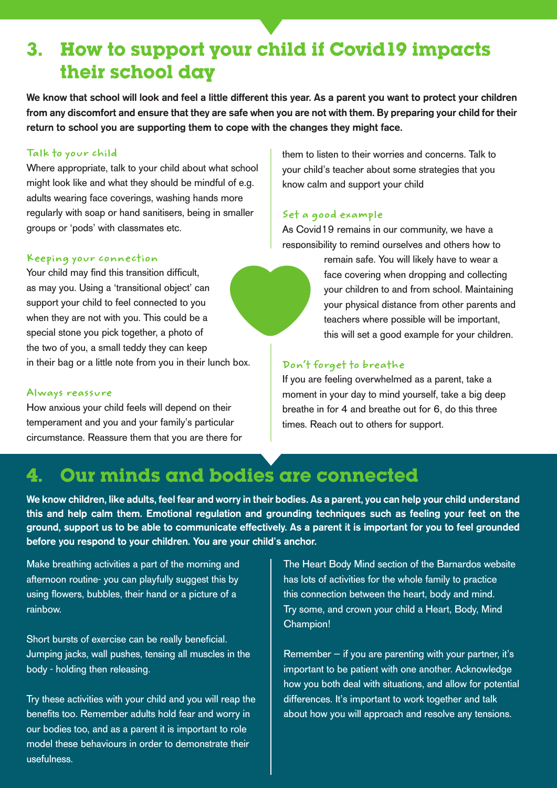# **3. How to support your child if Covid19 impacts their school day**

We know that school will look and feel a little different this year. As a parent you want to protect your children from any discomfort and ensure that they are safe when you are not with them. By preparing your child for their return to school you are supporting them to cope with the changes they might face.

#### **Talk to your child**

Where appropriate, talk to your child about what school might look like and what they should be mindful of e.g. adults wearing face coverings, washing hands more regularly with soap or hand sanitisers, being in smaller groups or 'pods' with classmates etc.

#### **Keeping your connection**

Your child may find this transition difficult, as may you. Using a 'transitional object' can support your child to feel connected to you when they are not with you. This could be a special stone you pick together, a photo of the two of you, a small teddy they can keep in their bag or a little note from you in their lunch box.

#### **Always reassure**

How anxious your child feels will depend on their temperament and you and your family's particular circumstance. Reassure them that you are there for them to listen to their worries and concerns. Talk to your child's teacher about some strategies that you know calm and support your child

#### **Set a good example**

As Covid19 remains in our community, we have a responsibility to remind ourselves and others how to



remain safe. You will likely have to wear a face covering when dropping and collecting your children to and from school. Maintaining your physical distance from other parents and teachers where possible will be important, this will set a good example for your children.

#### **Don't forget to breathe**

If you are feeling overwhelmed as a parent, take a moment in your day to mind yourself, take a big deep breathe in for 4 and breathe out for 6, do this three times. Reach out to others for support.

## **4. Our minds and bodies are connected**

We know children, like adults, feel fear and worry in their bodies. As a parent, you can help your child understand this and help calm them. Emotional regulation and grounding techniques such as feeling your feet on the ground, support us to be able to communicate effectively. As a parent it is important for you to feel grounded before you respond to your children. You are your child's anchor.

Make breathing activities a part of the morning and afternoon routine- you can playfully suggest this by using flowers, bubbles, their hand or a picture of a rainbow.

Short bursts of exercise can be really beneficial. Jumping jacks, wall pushes, tensing all muscles in the body - holding then releasing.

Try these activities with your child and you will reap the benefits too. Remember adults hold fear and worry in our bodies too, and as a parent it is important to role model these behaviours in order to demonstrate their usefulness.

The Heart Body Mind section of the Barnardos website has lots of activities for the whole family to practice this connection between the heart, body and mind. Try some, and crown your child a Heart, Body, Mind Champion!

Remember  $-$  if you are parenting with your partner, it's important to be patient with one another. Acknowledge how you both deal with situations, and allow for potential differences. It's important to work together and talk about how you will approach and resolve any tensions.